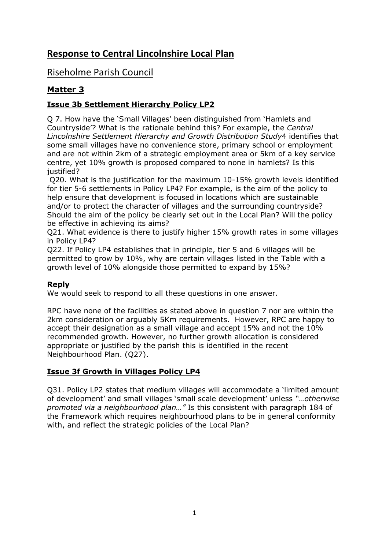# **Response to Central Lincolnshire Local Plan**

## Riseholme Parish Council

## **Matter 3**

### **Issue 3b Settlement Hierarchy Policy LP2**

Q 7. How have the 'Small Villages' been distinguished from 'Hamlets and Countryside'? What is the rationale behind this? For example, the *Central Lincolnshire Settlement Hierarchy and Growth Distribution Study*4 identifies that some small villages have no convenience store, primary school or employment and are not within 2km of a strategic employment area or 5km of a key service centre, yet 10% growth is proposed compared to none in hamlets? Is this iustified?

Q20. What is the justification for the maximum 10-15% growth levels identified for tier 5-6 settlements in Policy LP4? For example, is the aim of the policy to help ensure that development is focused in locations which are sustainable and/or to protect the character of villages and the surrounding countryside? Should the aim of the policy be clearly set out in the Local Plan? Will the policy be effective in achieving its aims?

Q21. What evidence is there to justify higher 15% growth rates in some villages in Policy LP4?

Q22. If Policy LP4 establishes that in principle, tier 5 and 6 villages will be permitted to grow by 10%, why are certain villages listed in the Table with a growth level of 10% alongside those permitted to expand by 15%?

#### **Reply**

We would seek to respond to all these questions in one answer.

RPC have none of the facilities as stated above in question 7 nor are within the 2km consideration or arguably 5Km requirements. However, RPC are happy to accept their designation as a small village and accept 15% and not the 10% recommended growth. However, no further growth allocation is considered appropriate or justified by the parish this is identified in the recent Neighbourhood Plan. (Q27).

### **Issue 3f Growth in Villages Policy LP4**

Q31. Policy LP2 states that medium villages will accommodate a 'limited amount of development' and small villages 'small scale development' unless *"…otherwise promoted via a neighbourhood plan…"* Is this consistent with paragraph 184 of the Framework which requires neighbourhood plans to be in general conformity with, and reflect the strategic policies of the Local Plan?